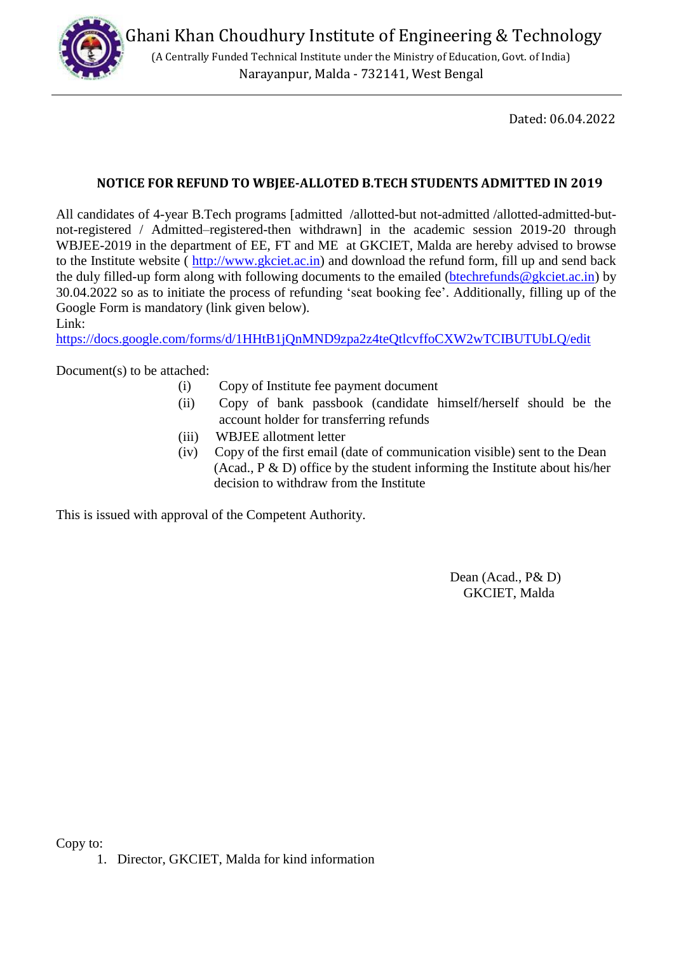

Dated: 06.04.2022

## **NOTICE FOR REFUND TO WBJEE-ALLOTED B.TECH STUDENTS ADMITTED IN 2019**

All candidates of 4-year B.Tech programs [admitted /allotted-but not-admitted /allotted-admitted-butnot-registered / Admitted–registered-then withdrawn] in the academic session 2019-20 through WBJEE-2019 in the department of EE, FT and ME at GKCIET, Malda are hereby advised to browse to the Institute website ( [http://www.gkciet.ac.in\)](http://www.gkciet.ac.in/) and download the refund form, fill up and send back the duly filled-up form along with following documents to the emailed [\(btechrefunds@gkciet.ac.in\)](mailto:btechrefunds@gkciet.ac.in) by 30.04.2022 so as to initiate the process of refunding 'seat booking fee'. Additionally, filling up of the Google Form is mandatory (link given below).

Link:

<https://docs.google.com/forms/d/1HHtB1jQnMND9zpa2z4teQtlcvffoCXW2wTCIBUTUbLQ/edit>

Document(s) to be attached:

- (i) Copy of Institute fee payment document
- (ii) Copy of bank passbook (candidate himself/herself should be the account holder for transferring refunds
- (iii) WBJEE allotment letter
- (iv) Copy of the first email (date of communication visible) sent to the Dean (Acad.,  $P \& D$ ) office by the student informing the Institute about his/her decision to withdraw from the Institute

This is issued with approval of the Competent Authority.

 Dean (Acad., P& D) GKCIET, Malda

Copy to:

1. Director, GKCIET, Malda for kind information